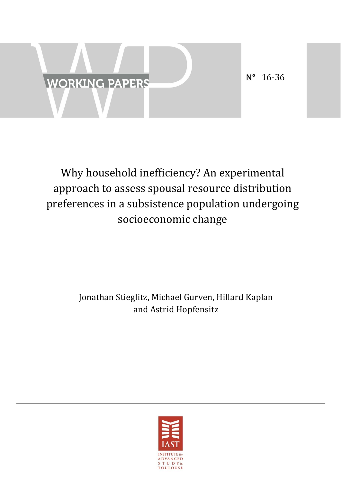

# Why household inefficiency? An experimental approach to assess spousal resource distribution preferences in a subsistence population undergoing socioeconomic change

## Jonathan Stieglitz, Michael Gurven, Hillard Kaplan and Astrid Hopfensitz

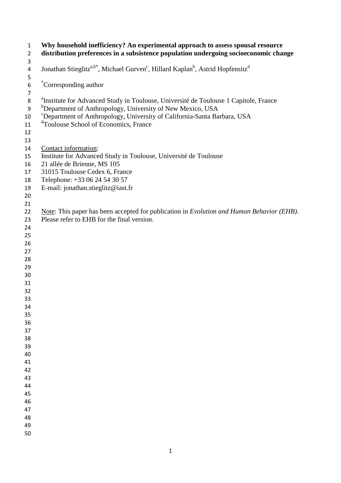| $\mathbf{1}$<br>$\overline{2}$     | Why household inefficiency? An experimental approach to assess spousal resource<br>distribution preferences in a subsistence population undergoing socioeconomic change                                                                                                                                                 |
|------------------------------------|-------------------------------------------------------------------------------------------------------------------------------------------------------------------------------------------------------------------------------------------------------------------------------------------------------------------------|
| 3<br>4<br>5                        | Jonathan Stieglitz <sup>a,b*</sup> , Michael Gurven <sup>c</sup> , Hillard Kaplan <sup>b</sup> , Astrid Hopfensitz <sup>d</sup>                                                                                                                                                                                         |
| $\boldsymbol{6}$<br>$\overline{7}$ | Corresponding author                                                                                                                                                                                                                                                                                                    |
| 8<br>$9\,$<br>10<br>11<br>12<br>13 | <sup>a</sup> Institute for Advanced Study in Toulouse, Université de Toulouse 1 Capitole, France<br><sup>b</sup> Department of Anthropology, University of New Mexico, USA<br><sup>c</sup> Department of Anthropology, University of California-Santa Barbara, USA<br><sup>d</sup> Toulouse School of Economics, France |
| 14                                 | Contact information:                                                                                                                                                                                                                                                                                                    |
| 15<br>16                           | Institute for Advanced Study in Toulouse, Université de Toulouse<br>21 allée de Brienne, MS 105                                                                                                                                                                                                                         |
| 17                                 | 31015 Toulouse Cedex 6, France                                                                                                                                                                                                                                                                                          |
| 18                                 | Telephone: +33 06 24 54 30 57                                                                                                                                                                                                                                                                                           |
| 19                                 | E-mail: jonathan.stieglitz@iast.fr                                                                                                                                                                                                                                                                                      |
| 20                                 |                                                                                                                                                                                                                                                                                                                         |
| 21                                 |                                                                                                                                                                                                                                                                                                                         |
| 22                                 | Note: This paper has been accepted for publication in <i>Evolution and Human Behavior (EHB)</i> .                                                                                                                                                                                                                       |
| 23                                 | Please refer to EHB for the final version.                                                                                                                                                                                                                                                                              |
| 24                                 |                                                                                                                                                                                                                                                                                                                         |
| 25                                 |                                                                                                                                                                                                                                                                                                                         |
| 26                                 |                                                                                                                                                                                                                                                                                                                         |
| 27                                 |                                                                                                                                                                                                                                                                                                                         |
| 28                                 |                                                                                                                                                                                                                                                                                                                         |
| 29                                 |                                                                                                                                                                                                                                                                                                                         |
| 30                                 |                                                                                                                                                                                                                                                                                                                         |
| 31                                 |                                                                                                                                                                                                                                                                                                                         |
| 32                                 |                                                                                                                                                                                                                                                                                                                         |
| 33                                 |                                                                                                                                                                                                                                                                                                                         |
| 34                                 |                                                                                                                                                                                                                                                                                                                         |
| 35                                 |                                                                                                                                                                                                                                                                                                                         |
| 36                                 |                                                                                                                                                                                                                                                                                                                         |
| 37                                 |                                                                                                                                                                                                                                                                                                                         |
| 38                                 |                                                                                                                                                                                                                                                                                                                         |
| 39                                 |                                                                                                                                                                                                                                                                                                                         |
| 40                                 |                                                                                                                                                                                                                                                                                                                         |
| 41                                 |                                                                                                                                                                                                                                                                                                                         |
| 42                                 |                                                                                                                                                                                                                                                                                                                         |
| 43                                 |                                                                                                                                                                                                                                                                                                                         |
| 44                                 |                                                                                                                                                                                                                                                                                                                         |
| 45                                 |                                                                                                                                                                                                                                                                                                                         |
| 46<br>47                           |                                                                                                                                                                                                                                                                                                                         |
| 48                                 |                                                                                                                                                                                                                                                                                                                         |
| 49                                 |                                                                                                                                                                                                                                                                                                                         |
| 50                                 |                                                                                                                                                                                                                                                                                                                         |
|                                    |                                                                                                                                                                                                                                                                                                                         |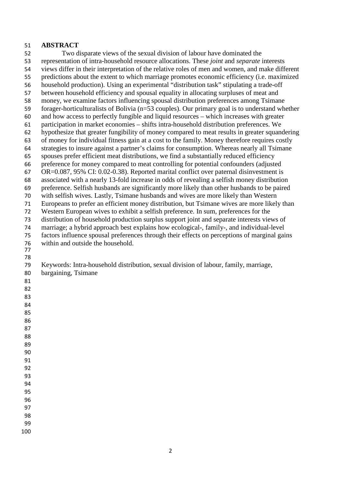## **ABSTRACT**

 Two disparate views of the sexual division of labour have dominated the representation of intra-household resource allocations. These *joint* and *separate* interests views differ in their interpretation of the relative roles of men and women, and make different predictions about the extent to which marriage promotes economic efficiency (i.e. maximized household production). Using an experimental "distribution task" stipulating a trade-off between household efficiency and spousal equality in allocating surpluses of meat and money, we examine factors influencing spousal distribution preferences among Tsimane forager-horticulturalists of Bolivia (n=53 couples). Our primary goal is to understand whether and how access to perfectly fungible and liquid resources – which increases with greater participation in market economies – shifts intra-household distribution preferences. We hypothesize that greater fungibility of money compared to meat results in greater squandering of money for individual fitness gain at a cost to the family. Money therefore requires costly strategies to insure against a partner's claims for consumption. Whereas nearly all Tsimane spouses prefer efficient meat distributions, we find a substantially reduced efficiency preference for money compared to meat controlling for potential confounders (adjusted OR=0.087, 95% CI: 0.02-0.38). Reported marital conflict over paternal disinvestment is associated with a nearly 13-fold increase in odds of revealing a selfish money distribution preference. Selfish husbands are significantly more likely than other husbands to be paired with selfish wives. Lastly, Tsimane husbands and wives are more likely than Western Europeans to prefer an efficient money distribution, but Tsimane wives are more likely than Western European wives to exhibit a selfish preference. In sum, preferences for the distribution of household production surplus support joint and separate interests views of marriage; a hybrid approach best explains how ecological-, family-, and individual-level factors influence spousal preferences through their effects on perceptions of marginal gains within and outside the household. Keywords: Intra-household distribution, sexual division of labour, family, marriage, bargaining, Tsimane 

- 
-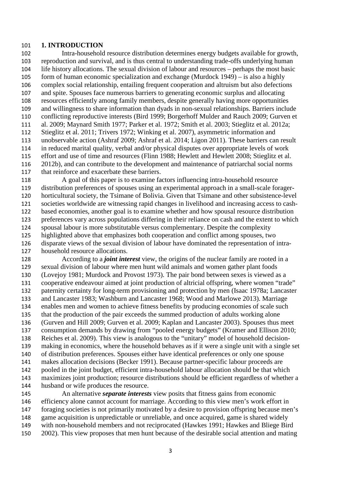#### **1. INTRODUCTION**

 Intra-household resource distribution determines energy budgets available for growth, reproduction and survival, and is thus central to understanding trade-offs underlying human life history allocations. The sexual division of labour and resources – perhaps the most basic form of human economic specialization and exchange (Murdock 1949) – is also a highly complex social relationship, entailing frequent cooperation and altruism but also defections and spite. Spouses face numerous barriers to generating economic surplus and allocating resources efficiently among family members, despite generally having more opportunities and willingness to share information than dyads in non-sexual relationships. Barriers include conflicting reproductive interests (Bird 1999; Borgerhoff Mulder and Rauch 2009; Gurven et al. 2009; Maynard Smith 1977; Parker et al. 1972; Smith et al. 2003; Stieglitz et al. 2012a; Stieglitz et al. 2011; Trivers 1972; Winking et al. 2007), asymmetric information and unobservable action (Ashraf 2009; Ashraf et al. 2014; Ligon 2011). These barriers can result in reduced marital quality, verbal and/or physical disputes over appropriate levels of work effort and use of time and resources (Flinn 1988; Hewlett and Hewlett 2008; Stieglitz et al. 2012b), and can contribute to the development and maintenance of patriarchal social norms that reinforce and exacerbate these barriers.

 A goal of this paper is to examine factors influencing intra-household resource distribution preferences of spouses using an experimental approach in a small-scale forager- horticultural society, the Tsimane of Bolivia. Given that Tsimane and other subsistence-level societies worldwide are witnessing rapid changes in livelihood and increasing access to cash- based economies, another goal is to examine whether and how spousal resource distribution preferences vary across populations differing in their reliance on cash and the extent to which spousal labour is more substitutable versus complementary. Despite the complexity highlighted above that emphasizes both cooperation and conflict among spouses, two disparate views of the sexual division of labour have dominated the representation of intra-household resource allocations.

 According to a *joint interest* view, the origins of the nuclear family are rooted in a sexual division of labour where men hunt wild animals and women gather plant foods (Lovejoy 1981; Murdock and Provost 1973). The pair bond between sexes is viewed as a cooperative endeavour aimed at joint production of altricial offspring, where women "trade" paternity certainty for long-term provisioning and protection by men (Isaac 1978a; Lancaster and Lancaster 1983; Washburn and Lancaster 1968; Wood and Marlowe 2013). Marriage enables men and women to achieve fitness benefits by producing economies of scale such that the production of the pair exceeds the summed production of adults working alone (Gurven and Hill 2009; Gurven et al. 2009; Kaplan and Lancaster 2003). Spouses thus meet consumption demands by drawing from "pooled energy budgets" (Kramer and Ellison 2010; Reiches et al. 2009). This view is analogous to the "unitary" model of household decision- making in economics, where the household behaves as if it were a single unit with a single set of distribution preferences. Spouses either have identical preferences or only one spouse makes allocation decisions (Becker 1991). Because partner-specific labour proceeds are pooled in the joint budget, efficient intra-household labour allocation should be that which maximizes joint production; resource distributions should be efficient regardless of whether a husband or wife produces the resource.

 An alternative *separate interests* view posits that fitness gains from economic efficiency alone cannot account for marriage. According to this view men's work effort in foraging societies is not primarily motivated by a desire to provision offspring because men's game acquisition is unpredictable or unreliable, and once acquired, game is shared widely with non-household members and not reciprocated (Hawkes 1991; Hawkes and Bliege Bird 2002). This view proposes that men hunt because of the desirable social attention and mating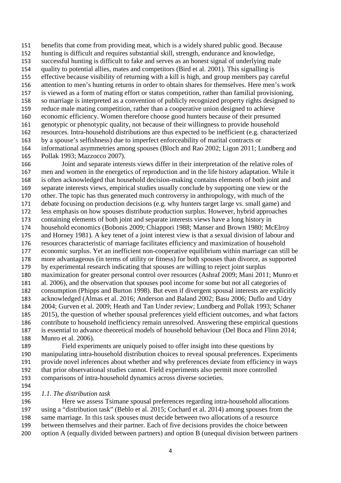benefits that come from providing meat, which is a widely shared public good. Because hunting is difficult and requires substantial skill, strength, endurance and knowledge, successful hunting is difficult to fake and serves as an honest signal of underlying male quality to potential allies, mates and competitors (Bird et al. 2001). This signalling is effective because visibility of returning with a kill is high, and group members pay careful attention to men's hunting returns in order to obtain shares for themselves. Here men's work is viewed as a form of mating effort or status competition, rather than familial provisioning, so marriage is interpreted as a convention of publicly recognized property rights designed to reduce male mating competition, rather than a cooperative union designed to achieve economic efficiency. Women therefore choose good hunters because of their presumed genotypic or phenotypic quality, not because of their willingness to provide household resources. Intra-household distributions are thus expected to be inefficient (e.g. characterized by a spouse's selfishness) due to imperfect enforceability of marital contracts or informational asymmetries among spouses (Bloch and Rao 2002; Ligon 2011; Lundberg and Pollak 1993; Mazzocco 2007).

 Joint and separate interests views differ in their interpretation of the relative roles of men and women in the energetics of reproduction and in the life history adaptation. While it is often acknowledged that household decision-making contains elements of both joint and separate interests views, empirical studies usually conclude by supporting one view or the other. The topic has thus generated much controversy in anthropology, with much of the debate focusing on production decisions (e.g. why hunters target large vs. small game) and less emphasis on how spouses distribute production surplus. However, hybrid approaches containing elements of both joint and separate interests views have a long history in household economics (Bobonis 2009; Chiappori 1988; Manser and Brown 1980; McElroy and Horney 1981). A key tenet of a joint interest view is that a sexual division of labour and resources characteristic of marriage facilitates efficiency and maximization of household economic surplus. Yet an inefficient non-cooperative equilibrium within marriage can still be more advantageous (in terms of utility or fitness) for both spouses than divorce, as supported by experimental research indicating that spouses are willing to reject joint surplus maximization for greater personal control over resources (Ashraf 2009; Mani 2011; Munro et al. 2006), and the observation that spouses pool income for some but not all categories of consumption (Phipps and Burton 1998). But even if divergent spousal interests are explicitly acknowledged (Almas et al. 2016; Anderson and Baland 2002; Basu 2006; Duflo and Udry 2004; Gurven et al. 2009; Heath and Tan Under review; Lundberg and Pollak 1993; Schaner 2015), the question of whether spousal preferences yield efficient outcomes, and what factors contribute to household inefficiency remain unresolved. Answering these empirical questions is essential to advance theoretical models of household behaviour (Del Boca and Flinn 2014; Munro et al. 2006).

 Field experiments are uniquely poised to offer insight into these questions by manipulating intra-household distribution choices to reveal spousal preferences. Experiments provide novel inferences about whether and why preferences deviate from efficiency in ways that prior observational studies cannot. Field experiments also permit more controlled comparisons of intra-household dynamics across diverse societies.

- 
- *1.1. The distribution task*

 Here we assess Tsimane spousal preferences regarding intra-household allocations using a "distribution task" (Beblo et al. 2015; Cochard et al. 2014) among spouses from the same marriage. In this task spouses must decide between two allocations of a resource between themselves and their partner. Each of five decisions provides the choice between option A (equally divided between partners) and option B (unequal division between partners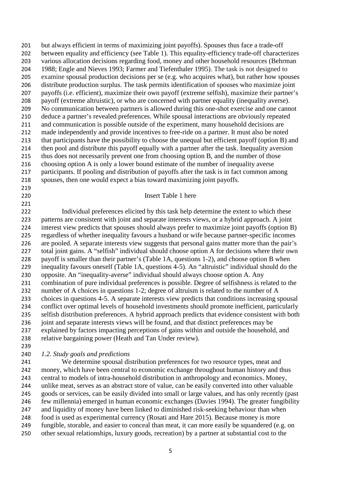but always efficient in terms of maximizing joint payoffs). Spouses thus face a trade-off between equality and efficiency (see Table 1). This equality-efficiency trade-off characterizes various allocation decisions regarding food, money and other household resources (Behrman 1988; Engle and Nieves 1993; Farmer and Tiefenthaler 1995). The task is not designed to examine spousal production decisions per se (e.g. who acquires what), but rather how spouses distribute production surplus. The task permits identification of spouses who maximize joint payoffs (i.e. efficient), maximize their own payoff (extreme selfish), maximize their partner's payoff (extreme altruistic), or who are concerned with partner equality (inequality averse). No communication between partners is allowed during this one-shot exercise and one cannot deduce a partner's revealed preferences. While spousal interactions are obviously repeated and communication is possible outside of the experiment, many household decisions are made independently and provide incentives to free-ride on a partner. It must also be noted that participants have the possibility to choose the unequal but efficient payoff (option B) and then pool and distribute this payoff equally with a partner after the task. Inequality aversion thus does not necessarily prevent one from choosing option B, and the number of those choosing option A is only a lower bound estimate of the number of inequality averse participants. If pooling and distribution of payoffs after the task is in fact common among spouses, then one would expect a bias toward maximizing joint payoffs. 

#### Insert Table 1 here

 Individual preferences elicited by this task help determine the extent to which these patterns are consistent with joint and separate interests views, or a hybrid approach. A joint interest view predicts that spouses should always prefer to maximize joint payoffs (option B) regardless of whether inequality favours a husband or wife because partner-specific incomes are pooled. A separate interests view suggests that personal gains matter more than the pair's total joint gains. A "selfish" individual should choose option A for decisions where their own payoff is smaller than their partner's (Table 1A, questions 1-2), and choose option B when inequality favours oneself (Table 1A, questions 4-5). An "altruistic" individual should do the opposite. An "inequality-averse" individual should always choose option A. Any combination of pure individual preferences is possible. Degree of selfishness is related to the number of A choices in questions 1-2; degree of altruism is related to the number of A choices in questions 4-5. A separate interests view predicts that conditions increasing spousal conflict over optimal levels of household investments should promote inefficient, particularly selfish distribution preferences. A hybrid approach predicts that evidence consistent with both joint and separate interests views will be found, and that distinct preferences may be explained by factors impacting perceptions of gains within and outside the household, and relative bargaining power (Heath and Tan Under review).

#### 

## *1.2. Study goals and predictions*

 We determine spousal distribution preferences for two resource types, meat and money, which have been central to economic exchange throughout human history and thus central to models of intra-household distribution in anthropology and economics. Money, unlike meat, serves as an abstract store of value, can be easily converted into other valuable goods or services, can be easily divided into small or large values, and has only recently (past few millennia) emerged in human economic exchanges (Davies 1994). The greater fungibility and liquidity of money have been linked to diminished risk-seeking behaviour than when food is used as experimental currency (Rosati and Hare 2015). Because money is more fungible, storable, and easier to conceal than meat, it can more easily be squandered (e.g. on other sexual relationships, luxury goods, recreation) by a partner at substantial cost to the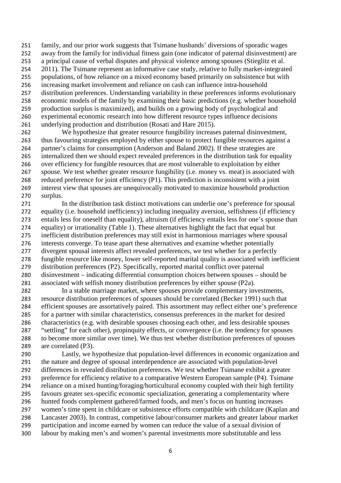family, and our prior work suggests that Tsimane husbands' diversions of sporadic wages away from the family for individual fitness gain (one indicator of paternal disinvestment) are a principal cause of verbal disputes and physical violence among spouses (Stieglitz et al. 2011). The Tsimane represent an informative case study, relative to fully market-integrated populations, of how reliance on a mixed economy based primarily on subsistence but with increasing market involvement and reliance on cash can influence intra-household distribution preferences. Understanding variability in these preferences informs evolutionary economic models of the family by examining their basic predictions (e.g. whether household production surplus is maximized), and builds on a growing body of psychological and experimental economic research into how different resource types influence decisions underlying production and distribution (Rosati and Hare 2015).

 We hypothesize that greater resource fungibility increases paternal disinvestment, thus favouring strategies employed by either spouse to protect fungible resources against a partner's claims for consumption (Anderson and Baland 2002). If these strategies are internalized then we should expect revealed preferences in the distribution task for equality over efficiency for fungible resources that are most vulnerable to exploitation by either spouse. We test whether greater resource fungibility (i.e. money vs. meat) is associated with reduced preference for joint efficiency (P1). This prediction is inconsistent with a joint interest view that spouses are unequivocally motivated to maximize household production surplus.

 In the distribution task distinct motivations can underlie one's preference for spousal equality (i.e. household inefficiency) including inequality aversion, selfishness (if efficiency entails less for oneself than equality), altruism (if efficiency entails less for one's spouse than equality) or irrationality (Table 1). These alternatives highlight the fact that equal but inefficient distribution preferences may still exist in harmonious marriages where spousal interests converge. To tease apart these alternatives and examine whether potentially 277 divergent spousal interests affect revealed preferences, we test whether for a perfectly fungible resource like money, lower self-reported marital quality is associated with inefficient distribution preferences (P2). Specifically, reported marital conflict over paternal disinvestment – indicating differential consumption choices between spouses – should be associated with selfish money distribution preferences by either spouse (P2a).

 In a stable marriage market, where spouses provide complementary investments, resource distribution preferences of spouses should be correlated (Becker 1991) such that efficient spouses are assortatively paired. This assortment may reflect either one's preference for a partner with similar characteristics, consensus preferences in the market for desired characteristics (e.g. with desirable spouses choosing each other, and less desirable spouses "settling" for each other), propinquity effects, or convergence (i.e. the tendency for spouses to become more similar over time). We thus test whether distribution preferences of spouses are correlated (P3).

 Lastly, we hypothesize that population-level differences in economic organization and the nature and degree of spousal interdependence are associated with population-level differences in revealed distribution preferences. We test whether Tsimane exhibit a greater preference for efficiency relative to a comparative Western European sample (P4). Tsimane reliance on a mixed hunting/foraging/horticultural economy coupled with their high fertility favours greater sex-specific economic specialization, generating a complementarity where hunted foods complement gathered/farmed foods, and men's focus on hunting increases women's time spent in childcare or subsistence efforts compatible with childcare (Kaplan and Lancaster 2003). In contrast, competitive labour/consumer markets and greater labour market participation and income earned by women can reduce the value of a sexual division of labour by making men's and women's parental investments more substitutable and less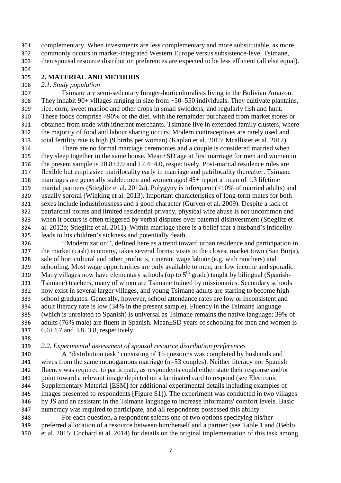complementary. When investments are less complementary and more substitutable, as more commonly occurs in market-integrated Western Europe versus subsistence-level Tsimane, then spousal resource distribution preferences are expected to be less efficient (all else equal).

## **2. MATERIAL AND METHODS**

## *2.1. Study population*

 Tsimane are semi-sedentary forager-horticulturalists living in the Bolivian Amazon. 308 They inhabit 90+ villages ranging in size from  $\sim$  50–550 individuals. They cultivate plantains, rice, corn, sweet manioc and other crops in small swiddens, and regularly fish and hunt. These foods comprise >90% of the diet, with the remainder purchased from market stores or obtained from trade with itinerant merchants. Tsimane live in extended family clusters, where the majority of food and labour sharing occurs. Modern contraceptives are rarely used and total fertility rate is high (9 births per woman) (Kaplan et al. 2015; Mcallister et al. 2012).

 There are no formal marriage ceremonies and a couple is considered married when they sleep together in the same house. Mean±SD age at first marriage for men and women in the present sample is 20.8±2.9 and 17.4±4.0, respectively. Post-marital residence rules are flexible but emphasize matrilocality early in marriage and patrilocality thereafter. Tsimane marriages are generally stable: men and women aged 45+ report a mean of 1.3 lifetime marital partners (Stieglitz et al. 2012a). Polygyny is infrequent (<10% of married adults) and usually sororal (Winking et al. 2013). Important characteristics of long-term mates for both sexes include industriousness and a good character (Gurven et al. 2009). Despite a lack of patriarchal norms and limited residential privacy, physical wife abuse is not uncommon and when it occurs is often triggered by verbal disputes over paternal disinvestment (Stieglitz et al. 2012b; Stieglitz et al. 2011). Within marriage there is a belief that a husband's infidelity leads to his children's sickness and potentially death.

 ''Modernization'', defined here as a trend toward urban residence and participation in the market (cash) economy, takes several forms: visits to the closest market town (San Borja), sale of horticultural and other products, itinerant wage labour (e.g. with ranchers) and schooling. Most wage opportunities are only available to men, are low income and sporadic. 330 Many villages now have elementary schools (up to  $5<sup>th</sup>$  grade) taught by bilingual (Spanish- Tsimane) teachers, many of whom are Tsimane trained by missionaries. Secondary schools now exist in several larger villages, and young Tsimane adults are starting to become high school graduates. Generally, however, school attendance rates are low or inconsistent and adult literacy rate is low (34% in the present sample). Fluency in the Tsimane language (which is unrelated to Spanish) is universal as Tsimane remains the native language; 39% of adults (76% male) are fluent in Spanish. Mean±SD years of schooling for men and women is 6.6±4.7 and 3.8±3.8, respectively.

## *2.2. Experimental assessment of spousal resource distribution preferences*

 A "distribution task" consisting of 15 questions was completed by husbands and wives from the same monogamous marriage (n=53 couples). Neither literacy nor Spanish fluency was required to participate, as respondents could either state their response and/or point toward a relevant image depicted on a laminated card to respond (see Electronic Supplementary Material [ESM] for additional experimental details including examples of images presented to respondents [Figure S1]). The experiment was conducted in two villages by JS and an assistant in the Tsimane language to increase informants' comfort levels. Basic numeracy was required to participate, and all respondents possessed this ability.

 For each question, a respondent selects one of two options specifying his/her preferred allocation of a resource between him/herself and a partner (see Table 1 and (Beblo et al. 2015; Cochard et al. 2014) for details on the original implementation of this task among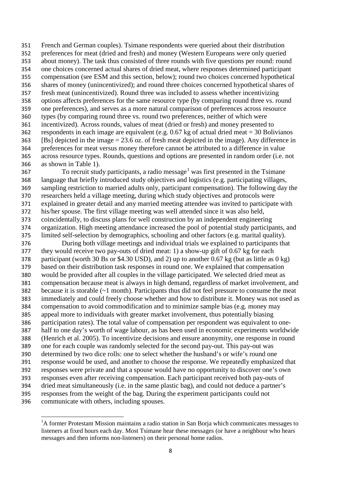French and German couples). Tsimane respondents were queried about their distribution preferences for meat (dried and fresh) and money (Western Europeans were only queried about money). The task thus consisted of three rounds with five questions per round: round one choices concerned actual shares of dried meat, where responses determined participant compensation (see ESM and this section, below); round two choices concerned hypothetical shares of money (unincentivized); and round three choices concerned hypothetical shares of fresh meat (unincentivized). Round three was included to assess whether incentivizing options affects preferences for the same resource type (by comparing round three vs. round one preferences), and serves as a more natural comparison of preferences across resource types (by comparing round three vs. round two preferences, neither of which were incentivized). Across rounds, values of meat (dried or fresh) and money presented to respondents in each image are equivalent (e.g. 0.67 kg of actual dried meat = 30 Bolivianos [Bs] depicted in the image = 23.6 oz. of fresh meat depicted in the image). Any difference in preferences for meat versus money therefore cannot be attributed to a difference in value across resource types. Rounds, questions and options are presented in random order (i.e. not as shown in Table 1).

 To recruit study participants, a radio message<sup>[1](#page-8-0)</sup> was first presented in the Tsimane language that briefly introduced study objectives and logistics (e.g. participating villages, sampling restriction to married adults only, participant compensation). The following day the researchers held a village meeting, during which study objectives and protocols were explained in greater detail and any married meeting attendee was invited to participate with his/her spouse. The first village meeting was well attended since it was also held, coincidentally, to discuss plans for well construction by an independent engineering organization. High meeting attendance increased the pool of potential study participants, and limited self-selection by demographics, schooling and other factors (e.g. marital quality).

 During both village meetings and individual trials we explained to participants that they would receive two pay-outs of dried meat: 1) a show-up gift of 0.67 kg for each participant (worth 30 Bs or \$4.30 USD), and 2) up to another 0.67 kg (but as little as 0 kg) based on their distribution task responses in round one. We explained that compensation would be provided after all couples in the village participated. We selected dried meat as compensation because meat is always in high demand, regardless of market involvement, and because it is storable (~1 month). Participants thus did not feel pressure to consume the meat immediately and could freely choose whether and how to distribute it. Money was not used as compensation to avoid commodification and to minimize sample bias (e.g. money may appeal more to individuals with greater market involvement, thus potentially biasing participation rates). The total value of compensation per respondent was equivalent to one- half to one day's worth of wage labour, as has been used in economic experiments worldwide (Henrich et al. 2005). To incentivize decisions and ensure anonymity, one response in round one for each couple was randomly selected for the second pay-out. This pay-out was determined by two dice rolls: one to select whether the husband's or wife's round one response would be used, and another to choose the response. We repeatedly emphasized that responses were private and that a spouse would have no opportunity to discover one's own responses even after receiving compensation. Each participant received both pay-outs of dried meat simultaneously (i.e. in the same plastic bag), and could not deduce a partner's responses from the weight of the bag. During the experiment participants could not communicate with others, including spouses.

 $\overline{\phantom{a}}$ 

<span id="page-8-0"></span><sup>&</sup>lt;sup>1</sup>A former Protestant Mission maintains a radio station in San Borja which communicates messages to listeners at fixed hours each day. Most Tsimane hear these messages (or have a neighbour who hears messages and then informs non-listeners) on their personal home radios.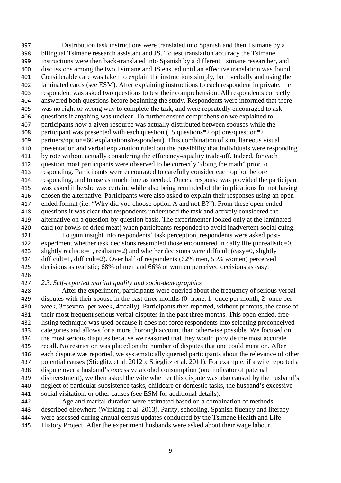Distribution task instructions were translated into Spanish and then Tsimane by a bilingual Tsimane research assistant and JS. To test translation accuracy the Tsimane instructions were then back-translated into Spanish by a different Tsimane researcher, and discussions among the two Tsimane and JS ensued until an effective translation was found. Considerable care was taken to explain the instructions simply, both verbally and using the laminated cards (see ESM). After explaining instructions to each respondent in private, the respondent was asked two questions to test their comprehension. All respondents correctly answered both questions before beginning the study. Respondents were informed that there was no right or wrong way to complete the task, and were repeatedly encouraged to ask questions if anything was unclear. To further ensure comprehension we explained to participants how a given resource was actually distributed between spouses while the participant was presented with each question (15 questions\*2 options/question\*2 partners/option=60 explanations/respondent). This combination of simultaneous visual presentation and verbal explanation ruled out the possibility that individuals were responding by rote without actually considering the efficiency-equality trade-off. Indeed, for each question most participants were observed to be correctly "doing the math" prior to responding. Participants were encouraged to carefully consider each option before responding, and to use as much time as needed. Once a response was provided the participant was asked if he/she was certain, while also being reminded of the implications for not having chosen the alternative. Participants were also asked to explain their responses using an open- ended format (i.e. "Why did you choose option A and not B?"). From these open-ended questions it was clear that respondents understood the task and actively considered the alternative on a question-by-question basis. The experimenter looked only at the laminated card (or bowls of dried meat) when participants responded to avoid inadvertent social cuing.

 To gain insight into respondents' task perception, respondents were asked post- experiment whether task decisions resembled those encountered in daily life (unrealistic=0, slightly realistic=1, realistic=2) and whether decisions were difficult (easy=0, slightly difficult=1, difficult=2). Over half of respondents (62% men, 55% women) perceived decisions as realistic; 68% of men and 66% of women perceived decisions as easy.

## 

## *2.3. Self-reported marital quality and socio-demographics*

 After the experiment, participants were queried about the frequency of serious verbal disputes with their spouse in the past three months (0=none, 1=once per month, 2=once per week, 3=several per week, 4=daily). Participants then reported, without prompts, the cause of their most frequent serious verbal disputes in the past three months. This open-ended, free- listing technique was used because it does not force respondents into selecting preconceived categories and allows for a more thorough account than otherwise possible. We focused on the most serious disputes because we reasoned that they would provide the most accurate recall. No restriction was placed on the number of disputes that one could mention. After each dispute was reported, we systematically queried participants about the relevance of other potential causes (Stieglitz et al. 2012b; Stieglitz et al. 2011). For example, if a wife reported a dispute over a husband's excessive alcohol consumption (one indicator of paternal disinvestment), we then asked the wife whether this dispute was also caused by the husband's neglect of particular subsistence tasks, childcare or domestic tasks, the husband's excessive social visitation, or other causes (see ESM for additional details).

 Age and marital duration were estimated based on a combination of methods described elsewhere (Winking et al. 2013). Parity, schooling, Spanish fluency and literacy were assessed during annual census updates conducted by the Tsimane Health and Life History Project. After the experiment husbands were asked about their wage labour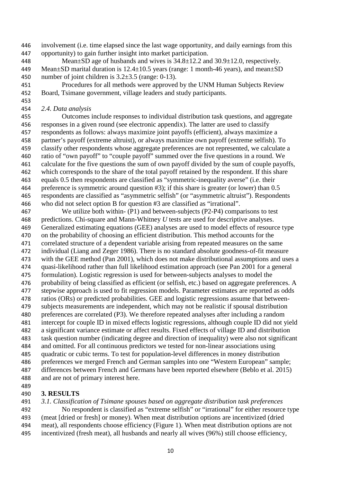involvement (i.e. time elapsed since the last wage opportunity, and daily earnings from this opportunity) to gain further insight into market participation.

 Mean±SD age of husbands and wives is 34.8±12.2 and 30.9±12.0, respectively. 449 Mean $\pm$ SD marital duration is 12.4 $\pm$ 10.5 years (range: 1 month-46 years), and mean $\pm$ SD 450 number of joint children is  $3.2\pm3.5$  (range: 0-13).

 Procedures for all methods were approved by the UNM Human Subjects Review Board, Tsimane government, village leaders and study participants.

 *2.4. Data analysis*

 Outcomes include responses to individual distribution task questions, and aggregate responses in a given round (see electronic appendix). The latter are used to classify respondents as follows: always maximize joint payoffs (efficient), always maximize a partner's payoff (extreme altruist), or always maximize own payoff (extreme selfish). To classify other respondents whose aggregate preferences are not represented, we calculate a ratio of "own payoff" to "couple payoff" summed over the five questions in a round. We calculate for the five questions the sum of own payoff divided by the sum of couple payoffs, which corresponds to the share of the total payoff retained by the respondent. If this share equals 0.5 then respondents are classified as "symmetric-inequality averse" (i.e. their preference is symmetric around question #3); if this share is greater (or lower) than 0.5 respondents are classified as "asymmetric selfish" (or "asymmetric altruist"). Respondents who did not select option B for question #3 are classified as "irrational".

 We utilize both within- (P1) and between-subjects (P2-P4) comparisons to test predictions. Chi-square and Mann-Whitney *U* tests are used for descriptive analyses. Generalized estimating equations (GEE) analyses are used to model effects of resource type on the probability of choosing an efficient distribution. This method accounts for the correlated structure of a dependent variable arising from repeated measures on the same individual (Liang and Zeger 1986). There is no standard absolute goodness-of-fit measure with the GEE method (Pan 2001), which does not make distributional assumptions and uses a quasi-likelihood rather than full likelihood estimation approach (see Pan 2001 for a general formulation). Logistic regression is used for between-subjects analyses to model the probability of being classified as efficient (or selfish, etc.) based on aggregate preferences. A stepwise approach is used to fit regression models. Parameter estimates are reported as odds ratios (ORs) or predicted probabilities. GEE and logistic regressions assume that between- subjects measurements are independent, which may not be realistic if spousal distribution preferences are correlated (P3). We therefore repeated analyses after including a random intercept for couple ID in mixed effects logistic regressions, although couple ID did not yield a significant variance estimate or affect results. Fixed effects of village ID and distribution task question number (indicating degree and direction of inequality) were also not significant and omitted. For all continuous predictors we tested for non-linear associations using quadratic or cubic terms. To test for population-level differences in money distribution preferences we merged French and German samples into one "Western European" sample; differences between French and Germans have been reported elsewhere (Beblo et al. 2015) and are not of primary interest here.

## **3. RESULTS**

 *3.1. Classification of Tsimane spouses based on aggregate distribution task preferences* No respondent is classified as "extreme selfish" or "irrational" for either resource type (meat [dried or fresh] or money). When meat distribution options are incentivized (dried meat), all respondents choose efficiency (Figure 1). When meat distribution options are not incentivized (fresh meat), all husbands and nearly all wives (96%) still choose efficiency,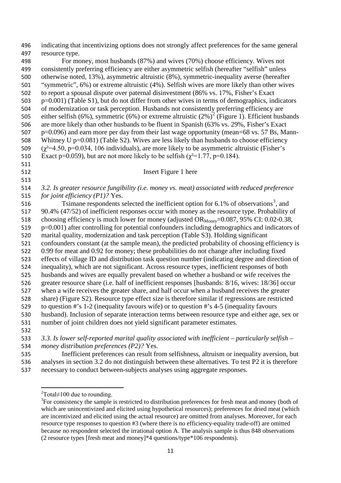| 496 | indicating that incentivizing options does not strongly affect preferences for the same general            |
|-----|------------------------------------------------------------------------------------------------------------|
| 497 | resource type.                                                                                             |
| 498 | For money, most husbands (87%) and wives (70%) choose efficiency. Wives not                                |
| 499 | consistently preferring efficiency are either asymmetric selfish (hereafter "selfish" unless               |
| 500 | otherwise noted, 13%), asymmetric altruistic (8%), symmetric-inequality averse (hereafter                  |
| 501 | "symmetric", 6%) or extreme altruistic (4%). Selfish wives are more likely than other wives                |
| 502 | to report a spousal dispute over paternal disinvestment (86% vs. 17%, Fisher's Exact                       |
| 503 | p=0.001) (Table S1), but do not differ from other wives in terms of demographics, indicators               |
| 504 | of modernization or task perception. Husbands not consistently preferring efficiency are                   |
| 505 | either selfish (6%), symmetric (6%) or extreme altruistic (2%) <sup>2</sup> (Figure 1). Efficient husbands |
| 506 | are more likely than other husbands to be fluent in Spanish (63% vs. 29%, Fisher's Exact                   |
| 507 | p=0.096) and earn more per day from their last wage opportunity (mean=68 vs. 57 Bs, Mann-                  |
| 508 | Whitney U $p=0.081$ ) (Table S2). Wives are less likely than husbands to choose efficiency                 |
| 509 | $(\chi^2=4.50, p=0.034, 106$ individuals), are more likely to be asymmetric altruistic (Fisher's           |
| 510 | Exact p=0.059), but are not more likely to be selfish ( $\chi^2$ =1.77, p=0.184).                          |
| 511 |                                                                                                            |
| 512 | Insert Figure 1 here                                                                                       |
| 513 |                                                                                                            |
| 514 | 3.2. Is greater resource fungibility (i.e. money vs. meat) associated with reduced preference              |
| 515 | for joint efficiency (P1)? Yes.                                                                            |
| 516 | Tsimane respondents selected the inefficient option for 6.1% of observations <sup>3</sup> , and            |
| 517 | 90.4% (47/52) of inefficient responses occur with money as the resource type. Probability of               |
| 518 | choosing efficiency is much lower for money (adjusted OR <sub>Money</sub> =0.087, 95% CI: 0.02-0.38,       |
| 519 | p=0.001) after controlling for potential confounders including demographics and indicators of              |
| 520 | marital quality, modernization and task perception (Table S3). Holding significant                         |
| 521 | confounders constant (at the sample mean), the predicted probability of choosing efficiency is             |
| 522 | 0.99 for meat and 0.92 for money; these probabilities do not change after including fixed                  |
| 523 | effects of village ID and distribution task question number (indicating degree and direction of            |
| 524 | inequality), which are not significant. Across resource types, inefficient responses of both               |
| 525 | husbands and wives are equally prevalent based on whether a husband or wife receives the                   |
| 526 | greater resource share (i.e. half of inefficient responses [husbands: 8/16, wives: 18/36] occur            |
| 527 | when a wife receives the greater share, and half occur when a husband receives the greater                 |
| 528 | share) (Figure S2). Resource type effect size is therefore similar if regressions are restricted           |
| 529 | to question #'s $1-2$ (inequality favours wife) or to question #'s $4-5$ (inequality favours               |
| 530 | husband). Inclusion of separate interaction terms between resource type and either age, sex or             |
| 531 | number of joint children does not yield significant parameter estimates.                                   |
| 532 |                                                                                                            |
| 533 | 3.3. Is lower self-reported marital quality associated with inefficient – particularly selfish –           |

- *money distribution preferences (P2)?* Yes.
- Inefficient preferences can result from selfishness, altruism or inequality aversion, but analyses in section 3.2 do not distinguish between these alternatives. To test P2 it is therefore necessary to conduct between-subjects analyses using aggregate responses.

 $\overline{\phantom{a}}$ 

Total $\neq$ 100 due to rounding.

<span id="page-11-1"></span><span id="page-11-0"></span>For consistency the sample is restricted to distribution preferences for fresh meat and money (both of which are unincentivized and elicited using hypothetical resources); preferences for dried meat (which are incentivized and elicited using the actual resource) are omitted from analyses. Moreover, for each resource type responses to question #3 (where there is no efficiency-equality trade-off) are omitted because no respondent selected the irrational option A. The analysis sample is thus 848 observations (2 resource types [fresh meat and money]\*4 questions/type\*106 respondents).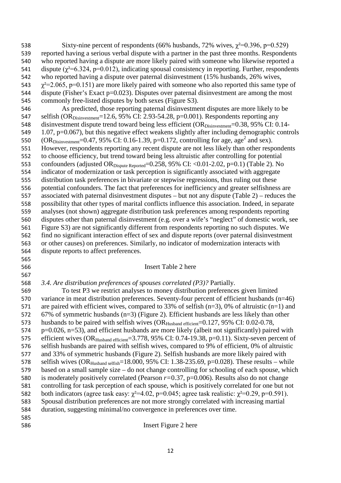538 Sixty-nine percent of respondents (66% husbands, 72% wives,  $\gamma^2$ =0.396, p=0.529) reported having a serious verbal dispute with a partner in the past three months. Respondents who reported having a dispute are more likely paired with someone who likewise reported a 541 dispute ( $\chi^2$ =6.324, p=0.012), indicating spousal consistency in reporting. Further, respondents who reported having a dispute over paternal disinvestment (15% husbands, 26% wives,  $\gamma^2$ =2.065, p=0.151) are more likely paired with someone who also reported this same type of 544 dispute (Fisher's Exact p=0.023). Disputes over paternal disinvestment are among the most commonly free-listed disputes by both sexes (Figure S3).

 As predicted, those reporting paternal disinvestment disputes are more likely to be 547 selfish (OR<sub>Disinvestment</sub>=12.6, 95% CI: 2.93-54.28, p=0.001). Respondents reporting any 548 disinvestment dispute trend toward being less efficient (OR<sub>Disinvestment</sub>=0.38, 95% CI: 0.14- 1.07, p=0.067), but this negative effect weakens slightly after including demographic controls 550 (OR<sub>Disinvestment</sub>=0.47, 95% CI: 0.16-1.39, p=0.172, controlling for age, age<sup>2</sup> and sex). However, respondents reporting any recent dispute are not less likely than other respondents to choose efficiency, but trend toward being less altruistic after controlling for potential 553 confounders (adjusted OR<sub>Dispute Reported</sub>=0.258, 95% CI: <0.01-2.02, p=0.1) (Table 2). No indicator of modernization or task perception is significantly associated with aggregate distribution task preferences in bivariate or stepwise regressions, thus ruling out these potential confounders. The fact that preferences for inefficiency and greater selfishness are associated with paternal disinvestment disputes – but not any dispute (Table 2) – reduces the possibility that other types of marital conflicts influence this association. Indeed, in separate analyses (not shown) aggregate distribution task preferences among respondents reporting disputes other than paternal disinvestment (e.g. over a wife's "neglect" of domestic work, see Figure S3) are not significantly different from respondents reporting no such disputes. We find no significant interaction effect of sex and dispute reports (over paternal disinvestment or other causes) on preferences. Similarly, no indicator of modernization interacts with dispute reports to affect preferences.

#### Insert Table 2 here

## *3.4. Are distribution preferences of spouses correlated (P3)?* Partially.

 To test P3 we restrict analyses to money distribution preferences given limited variance in meat distribution preferences. Seventy-four percent of efficient husbands (n=46) are paired with efficient wives, compared to 33% of selfish (n=3), 0% of altruistic (n=1) and 67% of symmetric husbands (n=3) (Figure 2). Efficient husbands are less likely than other 573 husbands to be paired with selfish wives  $(OR_{Hushand\text{ efficient}}=0.127, 95\% \text{ CI: } 0.02-0.78,$  p=0.026, n=53), and efficient husbands are more likely (albeit not significantly) paired with 575 efficient wives (OR<sub>Husband efficient</sub>=3.778, 95% CI: 0.74-19.38, p=0.11). Sixty-seven percent of selfish husbands are paired with selfish wives, compared to 9% of efficient, 0% of altruistic and 33% of symmetric husbands (Figure 2). Selfish husbands are more likely paired with 578 selfish wives  $(OR_{Hushand selffish}=18.000, 95\% \text{ CI: } 1.38-235.69, \text{p}=0.028)$ . These results – while based on a small sample size – do not change controlling for schooling of each spouse, which is moderately positively correlated (Pearson *r=*0.37, p=0.006). Results also do not change controlling for task perception of each spouse, which is positively correlated for one but not 582 both indicators (agree task easy:  $\gamma^2 = 4.02$ , p=0.045; agree task realistic:  $\gamma^2 = 0.29$ , p=0.591). Spousal distribution preferences are not more strongly correlated with increasing martial duration, suggesting minimal/no convergence in preferences over time. 

Insert Figure 2 here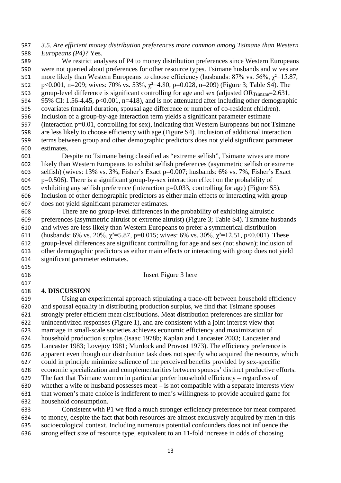## *3.5. Are efficient money distribution preferences more common among Tsimane than Western Europeans (P4)?* Yes.

 We restrict analyses of P4 to money distribution preferences since Western Europeans were not queried about preferences for other resource types. Tsimane husbands and wives are 591 more likely than Western Europeans to choose efficiency (husbands:  $87\%$  vs.  $56\%$ ,  $\gamma^2$ =15.87, 592 p<0.001, n=209; wives: 70% vs. 53%,  $\gamma$ <sup>2=4.80</sup>, p=0.028, n=209) (Figure 3; Table S4). The 593 group-level difference is significant controlling for age and sex (adjusted  $OR_{Tsinane} = 2.631$ , 95% CI: 1.56-4.45, p<0.001, n=418), and is not attenuated after including other demographic covariates (marital duration, spousal age difference or number of co-resident children). Inclusion of a group-by-age interaction term yields a significant parameter estimate (interaction p=0.01, controlling for sex), indicating that Western Europeans but not Tsimane are less likely to choose efficiency with age (Figure S4). Inclusion of additional interaction terms between group and other demographic predictors does not yield significant parameter estimates.

 Despite no Tsimane being classified as "extreme selfish", Tsimane wives are more likely than Western Europeans to exhibit selfish preferences (asymmetric selfish or extreme selfish) (wives: 13% vs. 3%, Fisher's Exact p=0.007; husbands: 6% vs. 7%, Fisher's Exact  $p=0.506$ . There is a significant group-by-sex interaction effect on the probability of exhibiting any selfish preference (interaction p=0.033, controlling for age) (Figure S5). Inclusion of other demographic predictors as either main effects or interacting with group does not yield significant parameter estimates.

 There are no group-level differences in the probability of exhibiting altruistic preferences (asymmetric altruist or extreme altruist) (Figure 3; Table S4). Tsimane husbands and wives are less likely than Western Europeans to prefer a symmetrical distribution 611 (husbands: 6% vs. 20%,  $\chi^2$ =5.87, p=0.015; wives: 6% vs. 30%,  $\chi^2$ =12.51, p<0.001). These group-level differences are significant controlling for age and sex (not shown); inclusion of other demographic predictors as either main effects or interacting with group does not yield significant parameter estimates.

Insert Figure 3 here

## **4. DISCUSSION**

 Using an experimental approach stipulating a trade-off between household efficiency and spousal equality in distributing production surplus, we find that Tsimane spouses strongly prefer efficient meat distributions. Meat distribution preferences are similar for unincentivized responses (Figure 1), and are consistent with a joint interest view that marriage in small-scale societies achieves economic efficiency and maximization of household production surplus (Isaac 1978b; Kaplan and Lancaster 2003; Lancaster and Lancaster 1983; Lovejoy 1981; Murdock and Provost 1973). The efficiency preference is apparent even though our distribution task does not specify who acquired the resource, which could in principle minimize salience of the perceived benefits provided by sex-specific economic specialization and complementarities between spouses' distinct productive efforts. The fact that Tsimane women in particular prefer household efficiency – regardless of whether a wife or husband possesses meat – is not compatible with a separate interests view that women's mate choice is indifferent to men's willingness to provide acquired game for household consumption.

 Consistent with P1 we find a much stronger efficiency preference for meat compared to money, despite the fact that both resources are almost exclusively acquired by men in this socioecological context. Including numerous potential confounders does not influence the strong effect size of resource type, equivalent to an 11-fold increase in odds of choosing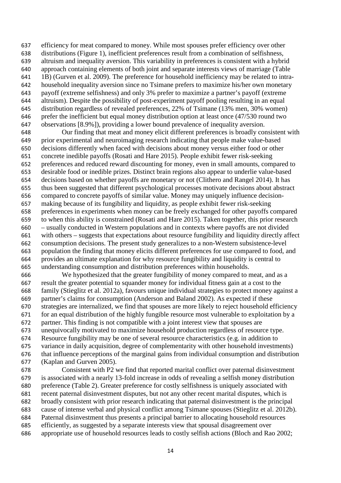efficiency for meat compared to money. While most spouses prefer efficiency over other distributions (Figure 1), inefficient preferences result from a combination of selfishness, altruism and inequality aversion. This variability in preferences is consistent with a hybrid approach containing elements of both joint and separate interests views of marriage (Table 1B) (Gurven et al. 2009). The preference for household inefficiency may be related to intra- household inequality aversion since no Tsimane prefers to maximize his/her own monetary payoff (extreme selfishness) and only 3% prefer to maximize a partner's payoff (extreme altruism). Despite the possibility of post-experiment payoff pooling resulting in an equal distribution regardless of revealed preferences, 22% of Tsimane (13% men, 30% women) prefer the inefficient but equal money distribution option at least once (47/530 round two observations [8.9%]), providing a lower bound prevalence of inequality aversion.

 Our finding that meat and money elicit different preferences is broadly consistent with prior experimental and neuroimaging research indicating that people make value-based decisions differently when faced with decisions about money versus either food or other concrete inedible payoffs (Rosati and Hare 2015). People exhibit fewer risk-seeking preferences and reduced reward discounting for money, even in small amounts, compared to desirable food or inedible prizes. Distinct brain regions also appear to underlie value-based decisions based on whether payoffs are monetary or not (Clithero and Rangel 2014). It has thus been suggested that different psychological processes motivate decisions about abstract compared to concrete payoffs of similar value. Money may uniquely influence decision- making because of its fungibility and liquidity, as people exhibit fewer risk-seeking preferences in experiments when money can be freely exchanged for other payoffs compared to when this ability is constrained (Rosati and Hare 2015). Taken together, this prior research – usually conducted in Western populations and in contexts where payoffs are not divided with others – suggests that expectations about resource fungibility and liquidity directly affect consumption decisions. The present study generalizes to a non-Western subsistence-level population the finding that money elicits different preferences for use compared to food, and provides an ultimate explanation for why resource fungibility and liquidity is central to understanding consumption and distribution preferences within households.

 We hypothesized that the greater fungibility of money compared to meat, and as a result the greater potential to squander money for individual fitness gain at a cost to the family (Stieglitz et al. 2012a), favours unique individual strategies to protect money against a partner's claims for consumption (Anderson and Baland 2002). As expected if these strategies are internalized, we find that spouses are more likely to reject household efficiency for an equal distribution of the highly fungible resource most vulnerable to exploitation by a partner. This finding is not compatible with a joint interest view that spouses are unequivocally motivated to maximize household production regardless of resource type. Resource fungibility may be one of several resource characteristics (e.g. in addition to variance in daily acquisition, degree of complementarity with other household investments) that influence perceptions of the marginal gains from individual consumption and distribution (Kaplan and Gurven 2005).

 Consistent with P2 we find that reported marital conflict over paternal disinvestment is associated with a nearly 13-fold increase in odds of revealing a selfish money distribution preference (Table 2). Greater preference for costly selfishness is uniquely associated with recent paternal disinvestment disputes, but not any other recent marital disputes, which is broadly consistent with prior research indicating that paternal disinvestment is the principal cause of intense verbal and physical conflict among Tsimane spouses (Stieglitz et al. 2012b). Paternal disinvestment thus presents a principal barrier to allocating household resources efficiently, as suggested by a separate interests view that spousal disagreement over appropriate use of household resources leads to costly selfish actions (Bloch and Rao 2002;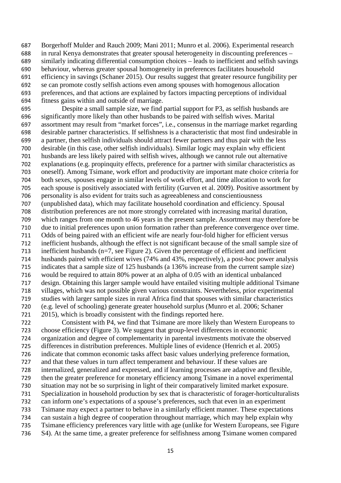Borgerhoff Mulder and Rauch 2009; Mani 2011; Munro et al. 2006). Experimental research in rural Kenya demonstrates that greater spousal heterogeneity in discounting preferences – similarly indicating differential consumption choices – leads to inefficient and selfish savings behaviour, whereas greater spousal homogeneity in preferences facilitates household efficiency in savings (Schaner 2015). Our results suggest that greater resource fungibility per se can promote costly selfish actions even among spouses with homogenous allocation preferences, and that actions are explained by factors impacting perceptions of individual fitness gains within and outside of marriage.

 Despite a small sample size, we find partial support for P3, as selfish husbands are significantly more likely than other husbands to be paired with selfish wives. Marital assortment may result from "market forces", i.e., consensus in the marriage market regarding desirable partner characteristics. If selfishness is a characteristic that most find undesirable in a partner, then selfish individuals should attract fewer partners and thus pair with the less desirable (in this case, other selfish individuals). Similar logic may explain why efficient husbands are less likely paired with selfish wives, although we cannot rule out alternative explanations (e.g. propinquity effects, preference for a partner with similar characteristics as oneself). Among Tsimane, work effort and productivity are important mate choice criteria for both sexes, spouses engage in similar levels of work effort, and time allocation to work for each spouse is positively associated with fertility (Gurven et al. 2009). Positive assortment by personality is also evident for traits such as agreeableness and conscientiousness (unpublished data), which may facilitate household coordination and efficiency. Spousal distribution preferences are not more strongly correlated with increasing marital duration, which ranges from one month to 46 years in the present sample. Assortment may therefore be due to initial preferences upon union formation rather than preference convergence over time. Odds of being paired with an efficient wife are nearly four-fold higher for efficient versus inefficient husbands, although the effect is not significant because of the small sample size of inefficient husbands (n=7, see Figure 2). Given the percentage of efficient and inefficient husbands paired with efficient wives (74% and 43%, respectively), a post-hoc power analysis indicates that a sample size of 125 husbands (a 136% increase from the current sample size) would be required to attain 80% power at an alpha of 0.05 with an identical unbalanced design. Obtaining this larger sample would have entailed visiting multiple additional Tsimane villages, which was not possible given various constraints. Nevertheless, prior experimental studies with larger sample sizes in rural Africa find that spouses with similar characteristics (e.g. level of schooling) generate greater household surplus (Munro et al. 2006; Schaner 2015), which is broadly consistent with the findings reported here.

 Consistent with P4, we find that Tsimane are more likely than Western Europeans to choose efficiency (Figure 3). We suggest that group-level differences in economic organization and degree of complementarity in parental investments motivate the observed differences in distribution preferences. Multiple lines of evidence (Henrich et al. 2005) indicate that common economic tasks affect basic values underlying preference formation, and that these values in turn affect temperament and behaviour. If these values are internalized, generalized and expressed, and if learning processes are adaptive and flexible, then the greater preference for monetary efficiency among Tsimane in a novel experimental situation may not be so surprising in light of their comparatively limited market exposure. Specialization in household production by sex that is characteristic of forager-horticulturalists can inform one's expectations of a spouse's preferences, such that even in an experiment Tsimane may expect a partner to behave in a similarly efficient manner. These expectations can sustain a high degree of cooperation throughout marriage, which may help explain why Tsimane efficiency preferences vary little with age (unlike for Western Europeans, see Figure S4). At the same time, a greater preference for selfishness among Tsimane women compared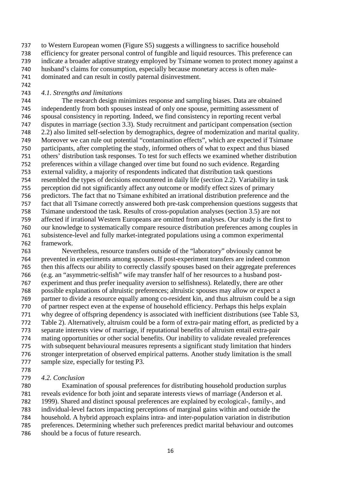to Western European women (Figure S5) suggests a willingness to sacrifice household efficiency for greater personal control of fungible and liquid resources. This preference can indicate a broader adaptive strategy employed by Tsimane women to protect money against a husband's claims for consumption, especially because monetary access is often male-

dominated and can result in costly paternal disinvestment.

## *4.1. Strengths and limitations*

 The research design minimizes response and sampling biases. Data are obtained independently from both spouses instead of only one spouse, permitting assessment of spousal consistency in reporting. Indeed, we find consistency in reporting recent verbal disputes in marriage (section 3.3). Study recruitment and participant compensation (section 2.2) also limited self-selection by demographics, degree of modernization and marital quality. Moreover we can rule out potential "contamination effects", which are expected if Tsimane participants, after completing the study, informed others of what to expect and thus biased others' distribution task responses. To test for such effects we examined whether distribution preferences within a village changed over time but found no such evidence. Regarding external validity, a majority of respondents indicated that distribution task questions resembled the types of decisions encountered in daily life (section 2.2). Variability in task perception did not significantly affect any outcome or modify effect sizes of primary predictors. The fact that no Tsimane exhibited an irrational distribution preference and the fact that all Tsimane correctly answered both pre-task comprehension questions suggests that Tsimane understood the task. Results of cross-population analyses (section 3.5) are not affected if irrational Western Europeans are omitted from analyses. Our study is the first to our knowledge to systematically compare resource distribution preferences among couples in subsistence-level and fully market-integrated populations using a common experimental framework.

 Nevertheless, resource transfers outside of the "laboratory" obviously cannot be prevented in experiments among spouses. If post-experiment transfers are indeed common then this affects our ability to correctly classify spouses based on their aggregate preferences (e.g. an "asymmetric-selfish" wife may transfer half of her resources to a husband post- experiment and thus prefer inequality aversion to selfishness). Relatedly, there are other possible explanations of altruistic preferences; altruistic spouses may allow or expect a partner to divide a resource equally among co-resident kin, and thus altruism could be a sign of partner respect even at the expense of household efficiency. Perhaps this helps explain why degree of offspring dependency is associated with inefficient distributions (see Table S3, Table 2). Alternatively, altruism could be a form of extra-pair mating effort, as predicted by a separate interests view of marriage, if reputational benefits of altruism entail extra-pair mating opportunities or other social benefits. Our inability to validate revealed preferences with subsequent behavioural measures represents a significant study limitation that hinders stronger interpretation of observed empirical patterns. Another study limitation is the small sample size, especially for testing P3. 

*4.2. Conclusion*

 Examination of spousal preferences for distributing household production surplus reveals evidence for both joint and separate interests views of marriage (Anderson et al. 1999). Shared and distinct spousal preferences are explained by ecological-, family-, and individual-level factors impacting perceptions of marginal gains within and outside the household. A hybrid approach explains intra- and inter-population variation in distribution preferences. Determining whether such preferences predict marital behaviour and outcomes should be a focus of future research.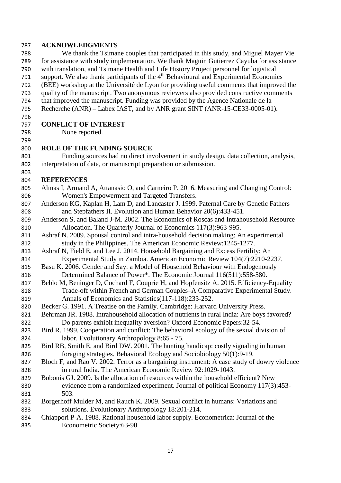## **ACKNOWLEDGMENTS**

 We thank the Tsimane couples that participated in this study, and Miguel Mayer Vie for assistance with study implementation. We thank Maguin Gutierrez Cayuba for assistance with translation, and Tsimane Health and Life History Project personnel for logistical 791 support. We also thank participants of the  $4<sup>th</sup>$  Behavioural and Experimental Economics (BEE) workshop at the Université de Lyon for providing useful comments that improved the quality of the manuscript. Two anonymous reviewers also provided constructive comments

- that improved the manuscript. Funding was provided by the Agence Nationale de la
- Recherche (ANR) Labex IAST, and by ANR grant SINT (ANR-15-CE33-0005-01).

## 

## **CONFLICT OF INTEREST**

None reported.

## 

## **ROLE OF THE FUNDING SOURCE**

 Funding sources had no direct involvement in study design, data collection, analysis, interpretation of data, or manuscript preparation or submission.

## **REFERENCES**

- Almas I, Armand A, Attanasio O, and Carneiro P. 2016. Measuring and Changing Control: Women's Empowerment and Targeted Transfers.
- Anderson KG, Kaplan H, Lam D, and Lancaster J. 1999. Paternal Care by Genetic Fathers and Stepfathers II. Evolution and Human Behavior 20(6):433-451.
- Anderson S, and Baland J-M. 2002. The Economics of Roscas and Intrahousehold Resource Allocation. The Quarterly Journal of Economics 117(3):963-995.
- Ashraf N. 2009. Spousal control and intra-household decision making: An experimental study in the Philippines. The American Economic Review:1245-1277.
- Ashraf N, Field E, and Lee J. 2014. Household Bargaining and Excess Fertility: An Experimental Study in Zambia. American Economic Review 104(7):2210-2237.
- Basu K. 2006. Gender and Say: a Model of Household Behaviour with Endogenously Determined Balance of Power\*. The Economic Journal 116(511):558-580.
- Beblo M, Beninger D, Cochard F, Couprie H, and Hopfensitz A. 2015. Efficiency-Equality Trade-off within French and German Couples–A Comparative Experimental Study. Annals of Economics and Statistics(117-118):233-252.
- Becker G. 1991. A Treatise on the Family. Cambridge: Harvard University Press.
- Behrman JR. 1988. Intrahousehold allocation of nutrients in rural India: Are boys favored? Do parents exhibit inequality aversion? Oxford Economic Papers:32-54.
- Bird R. 1999. Cooperation and conflict: The behavioral ecology of the sexual division of labor. Evolutionary Anthropology 8:65 - 75.
- Bird RB, Smith E, and Bird DW. 2001. The hunting handicap: costly signaling in human foraging strategies. Behavioral Ecology and Sociobiology 50(1):9-19.

 Bloch F, and Rao V. 2002. Terror as a bargaining instrument: A case study of dowry violence in rural India. The American Economic Review 92:1029-1043.

- Bobonis GJ. 2009. Is the allocation of resources within the household efficient? New evidence from a randomized experiment. Journal of political Economy 117(3):453- 503.
- Borgerhoff Mulder M, and Rauch K. 2009. Sexual conflict in humans: Variations and solutions. Evolutionary Anthropology 18:201-214.
- Chiappori P-A. 1988. Rational household labor supply. Econometrica: Journal of the Econometric Society:63-90.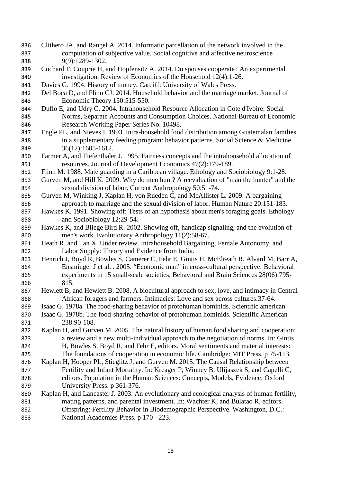- Clithero JA, and Rangel A. 2014. Informatic parcellation of the network involved in the computation of subjective value. Social cognitive and affective neuroscience 9(9):1289-1302.
- Cochard F, Couprie H, and Hopfensitz A. 2014. Do spouses cooperate? An experimental investigation. Review of Economics of the Household 12(4):1-26.
- Davies G. 1994. History of money. Cardiff: University of Wales Press.
- Del Boca D, and Flinn CJ. 2014. Household behavior and the marriage market. Journal of Economic Theory 150:515-550.
- Duflo E, and Udry C. 2004. Intrahousehold Resource Allocation in Cote d'Ivoire: Social Norms, Separate Accounts and Consumption Choices. National Bureau of Economic Research Working Paper Series No. 10498.
- Engle PL, and Nieves I. 1993. Intra-household food distribution among Guatemalan families in a supplementary feeding program: behavior patterns. Social Science & Medicine 36(12):1605-1612.
- Farmer A, and Tiefenthaler J. 1995. Fairness concepts and the intrahousehold allocation of resources. Journal of Development Economics 47(2):179-189.
- Flinn M. 1988. Mate guarding in a Caribbean village. Ethology and Sociobiology 9:1-28.
- Gurven M, and Hill K. 2009. Why do men hunt? A reevaluation of "man the hunter" and the sexual division of labor. Current Anthropology 50:51-74.
- Gurven M, Winking J, Kaplan H, von Rueden C, and McAllister L. 2009. A bargaining approach to marriage and the sexual division of labor. Human Nature 20:151-183.
- Hawkes K. 1991. Showing off: Tests of an hypothesis about men's foraging goals. Ethology and Sociobiology 12:29-54.
- Hawkes K, and Bliege Bird R. 2002. Showing off, handicap signaling, and the evolution of men's work. Evolutionary Anthropology 11(2):58-67.
- Heath R, and Tan X. Under review. Intrahousehold Bargaining, Female Autonomy, and Labor Supply: Theory and Evidence from India.
- 863 Henrich J, Boyd R, Bowles S, Camerer C, Fehr E, Gintis H, McElreath R, Alvard M, Barr A, Ensminger J et al. . 2005. "Economic man" in cross-cultural perspective: Behavioral experiments in 15 small-scale societies. Behavioral and Brain Sciences 28(06):795- 815.
- Hewlett B, and Hewlett B. 2008. A biocultural approach to sex, love, and intimacy in Central African foragers and farmers. Intimacies: Love and sex across cultures:37-64.
- Isaac G. 1978a. The food-sharing behavior of protohuman hominids. Scientific american.
- Isaac G. 1978b. The food-sharing behavior of protohuman hominids. Scientific American 238:90-108.
- Kaplan H, and Gurven M. 2005. The natural history of human food sharing and cooperation: a review and a new multi-individual approach to the negotiation of norms. In: Gintis H, Bowles S, Boyd R, and Fehr E, editors. Moral sentiments and material interests: The foundations of cooperation in economic life. Cambridge: MIT Press. p 75-113.
- Kaplan H, Hooper PL, Stieglitz J, and Gurven M. 2015. The Causal Relationship between Fertility and Infant Mortality. In: Kreager P, Winney B, Ulijaszek S, and Capelli C, editors. Population in the Human Sciences: Concepts, Models, Evidence: Oxford University Press. p 361-376.
- Kaplan H, and Lancaster J. 2003. An evolutionary and ecological analysis of human fertility, mating patterns, and parental investment. In: Wachter K, and Bulatao R, editors. Offspring: Fertility Behavior in Biodemographic Perspective. Washington, D.C.: National Academies Press. p 170 - 223.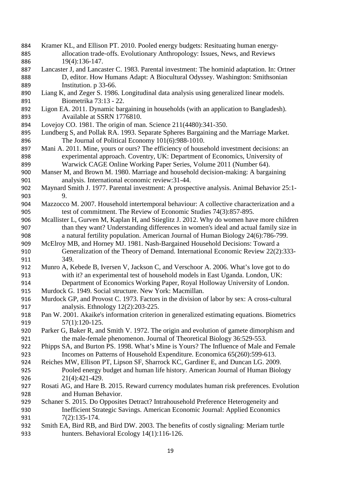- 884 Kramer KL, and Ellison PT. 2010. Pooled energy budgets: Resituating human energy-<br>885 allocation trade-offs. Evolutionary Anthropology: Issues, News, and Reviews 885 allocation trade-offs. Evolutionary Anthropology: Issues, News, and Reviews<br>886 19(4):136-147. 19(4):136-147.
- Lancaster J, and Lancaster C. 1983. Parental investment: The hominid adaptation. In: Ortner D, editor. How Humans Adapt: A Biocultural Odyssey. Washington: Smithsonian Institution. p 33-66.
- Liang K, and Zeger S. 1986. Longitudinal data analysis using generalized linear models. Biometrika 73:13 - 22.
- Ligon EA. 2011. Dynamic bargaining in households (with an application to Bangladesh). Available at SSRN 1776810.
- Lovejoy CO. 1981. The origin of man. Science 211(4480):341-350.
- Lundberg S, and Pollak RA. 1993. Separate Spheres Bargaining and the Marriage Market. The Journal of Political Economy 101(6):988-1010.
- Mani A. 2011. Mine, yours or ours? The efficiency of household investment decisions: an experimental approach. Coventry, UK: Department of Economics, University of Warwick CAGE Online Working Paper Series, Volume 2011 (Number 64).
- Manser M, and Brown M. 1980. Marriage and household decision-making: A bargaining analysis. International economic review:31-44.
- Maynard Smith J. 1977. Parental investment: A prospective analysis. Animal Behavior 25:1- 9.
- Mazzocco M. 2007. Household intertemporal behaviour: A collective characterization and a test of commitment. The Review of Economic Studies 74(3):857-895.
- Mcallister L, Gurven M, Kaplan H, and Stieglitz J. 2012. Why do women have more children than they want? Understanding differences in women's ideal and actual family size in a natural fertility population. American Journal of Human Biology 24(6):786-799.
- McElroy MB, and Horney MJ. 1981. Nash-Bargained Household Decisions: Toward a Generalization of the Theory of Demand. International Economic Review 22(2):333- 349.
- Munro A, Kebede B, Iversen V, Jackson C, and Verschoor A. 2006. What's love got to do with it? an experimental test of household models in East Uganda. London, UK: Department of Economics Working Paper, Royal Holloway University of London.
- Murdock G. 1949. Social structure. New York: Macmillan.
- Murdock GP, and Provost C. 1973. Factors in the division of labor by sex: A cross-cultural analysis. Ethnology 12(2):203-225.
- Pan W. 2001. Akaike's information criterion in generalized estimating equations. Biometrics 919 57(1):120-125.
- Parker G, Baker R, and Smith V. 1972. The origin and evolution of gamete dimorphism and the male-female phenomenon. Journal of Theoretical Biology 36:529-553.
- Phipps SA, and Burton PS. 1998. What's Mine is Yours? The Influence of Male and Female Incomes on Patterns of Household Expenditure. Economica 65(260):599-613.
- Reiches MW, Ellison PT, Lipson SF, Sharrock KC, Gardiner E, and Duncan LG. 2009. Pooled energy budget and human life history. American Journal of Human Biology 21(4):421-429.
- Rosati AG, and Hare B. 2015. Reward currency modulates human risk preferences. Evolution and Human Behavior.
- Schaner S. 2015. Do Opposites Detract? Intrahousehold Preference Heterogeneity and Inefficient Strategic Savings. American Economic Journal: Applied Economics 931 7(2):135-174.
- Smith EA, Bird RB, and Bird DW. 2003. The benefits of costly signaling: Meriam turtle hunters. Behavioral Ecology 14(1):116-126.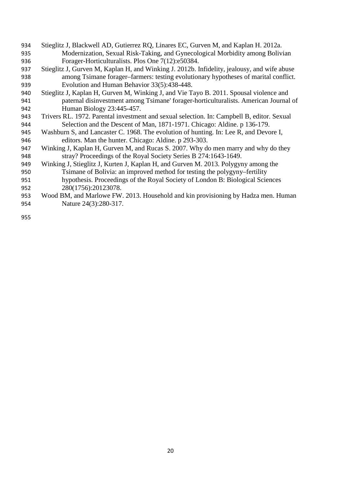- Stieglitz J, Blackwell AD, Gutierrez RQ, Linares EC, Gurven M, and Kaplan H. 2012a. Modernization, Sexual Risk-Taking, and Gynecological Morbidity among Bolivian Forager-Horticulturalists. Plos One 7(12):e50384.
- Stieglitz J, Gurven M, Kaplan H, and Winking J. 2012b. Infidelity, jealousy, and wife abuse among Tsimane forager–farmers: testing evolutionary hypotheses of marital conflict. Evolution and Human Behavior 33(5):438-448.
- Stieglitz J, Kaplan H, Gurven M, Winking J, and Vie Tayo B. 2011. Spousal violence and paternal disinvestment among Tsimane' forager-horticulturalists. American Journal of Human Biology 23:445-457.
- Trivers RL. 1972. Parental investment and sexual selection. In: Campbell B, editor. Sexual Selection and the Descent of Man, 1871-1971. Chicago: Aldine. p 136-179.
- Washburn S, and Lancaster C. 1968. The evolution of hunting. In: Lee R, and Devore I, editors. Man the hunter. Chicago: Aldine. p 293-303.
- Winking J, Kaplan H, Gurven M, and Rucas S. 2007. Why do men marry and why do they stray? Proceedings of the Royal Society Series B 274:1643-1649.
- Winking J, Stieglitz J, Kurten J, Kaplan H, and Gurven M. 2013. Polygyny among the Tsimane of Bolivia: an improved method for testing the polygyny–fertility hypothesis. Proceedings of the Royal Society of London B: Biological Sciences
- 280(1756):20123078.
- Wood BM, and Marlowe FW. 2013. Household and kin provisioning by Hadza men. Human Nature 24(3):280-317.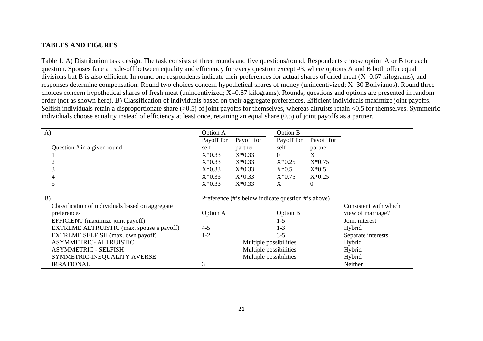## **TABLES AND FIGURES**

Table 1. A) Distribution task design. The task consists of three rounds and five questions/round. Respondents choose option A or B for each question. Spouses face a trade-off between equality and efficiency for every question except #3, where options A and B both offer equal divisions but B is also efficient. In round one respondents indicate their preferences for actual shares of dried meat (X=0.67 kilograms), and responses determine compensation. Round two choices concern hypothetical shares of money (unincentivized; X=30 Bolivianos). Round three choices concern hypothetical shares of fresh meat (unincentivized; X=0.67 kilograms). Rounds, questions and options are presented in random order (not as shown here). B) Classification of individuals based on their aggregate preferences. Efficient individuals maximize joint payoffs. Selfish individuals retain a disproportionate share (>0.5) of joint payoffs for themselves, whereas altruists retain <0.5 for themselves. Symmetric individuals choose equality instead of efficiency at least once, retaining an equal share (0.5) of joint payoffs as a partner.

| A)                                               | Option A               |                                                    | Option B   |            |                       |  |
|--------------------------------------------------|------------------------|----------------------------------------------------|------------|------------|-----------------------|--|
|                                                  | Payoff for             | Payoff for                                         | Payoff for | Payoff for |                       |  |
| Question $#$ in a given round                    | self                   | partner                                            | self       | partner    |                       |  |
|                                                  | $X*0.33$               | $X*0.33$                                           | $\Omega$   | X          |                       |  |
| $\overline{c}$                                   | $X*0.33$               | $X*0.33$                                           | $X*0.25$   | $X*0.75$   |                       |  |
|                                                  | $X*0.33$               | $X*0.33$                                           | $X*0.5$    | $X*0.5$    |                       |  |
|                                                  | $X*0.33$               | $X*0.33$                                           | $X*0.75$   | $X*0.25$   |                       |  |
| 5                                                | $X*0.33$               | $X*0.33$                                           | X          | 0          |                       |  |
| B)                                               |                        | Preference (#'s below indicate question #'s above) |            |            |                       |  |
| Classification of individuals based on aggregate |                        |                                                    |            |            | Consistent with which |  |
| preferences                                      | Option A               |                                                    | Option B   |            | view of marriage?     |  |
| EFFICIENT (maximize joint payoff)                |                        |                                                    | $1-5$      |            | Joint interest        |  |
| EXTREME ALTRUISTIC (max. spouse's payoff)        | $4 - 5$                |                                                    | $1-3$      |            | Hybrid                |  |
| EXTREME SELFISH (max. own payoff)                | $1 - 2$                |                                                    | $3 - 5$    |            | Separate interests    |  |
| <b>ASYMMETRIC- ALTRUISTIC</b>                    |                        | Multiple possibilities                             | Hybrid     |            |                       |  |
| <b>ASYMMETRIC - SELFISH</b>                      | Multiple possibilities |                                                    |            |            | Hybrid                |  |
| SYMMETRIC-INEQUALITY AVERSE                      | Multiple possibilities |                                                    |            |            | Hybrid                |  |
| <b>IRRATIONAL</b>                                | 3                      |                                                    |            |            | Neither               |  |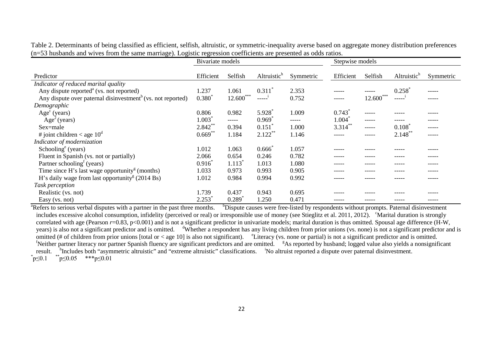|  |  |  |                                                                                                                  | Table 2. Determinants of being classified as efficient, selfish, altruistic, or symmetric-inequality averse based on aggregate money distribution preferences |  |
|--|--|--|------------------------------------------------------------------------------------------------------------------|---------------------------------------------------------------------------------------------------------------------------------------------------------------|--|
|  |  |  | (n=53 husbands and wives from the same marriage). Logistic regression coefficients are presented as odds ratios. |                                                                                                                                                               |  |

|                                                                                 | Bivariate models |                      |                         |           | Stepwise models |               |                         |           |
|---------------------------------------------------------------------------------|------------------|----------------------|-------------------------|-----------|-----------------|---------------|-------------------------|-----------|
|                                                                                 |                  |                      |                         |           |                 |               |                         |           |
| Predictor                                                                       | Efficient        | Selfish              | Altruistic <sup>h</sup> | Symmetric | Efficient       | Selfish       | Altruistic <sup>h</sup> | Symmetric |
| Indicator of reduced marital quality                                            |                  |                      |                         |           |                 |               |                         |           |
| Any dispute reported $^{\text{a}}$ (vs. not reported)                           | 1.237            | 1.061                | 0.311                   | 2.353     | -----           | -----         | 0.258                   | -----     |
| Any dispute over paternal disinvestment <sup>b</sup> (vs. not reported)         | $0.380^{1}$      | $12.600***$          | -----                   | 0.752     | -----           | ***<br>12.600 | -----                   | -----     |
| Demographic                                                                     |                  |                      |                         |           |                 |               |                         |           |
| $Agec$ (years)                                                                  | 0.806            | 0.982                | 5.928                   | 1.009     | 0.743           | $- - - - -$   | -----                   | -----     |
| $Age2$ (years)                                                                  | 1.003            | $--- - -$            | 0.969                   | -----     | 1.004           | -----         |                         | -----     |
| Sex=male                                                                        | $2.842**$        | 0.394                | 0.151                   | 1.000     | $3.314$ **      | $--- - -$     | 0.108                   | -----     |
| # joint children < age $10^d$                                                   | $0.669**$        | 1.184                | $2.122$ **              | 1.146     | -----           | -----         | $2.148***$              | -----     |
| Indicator of modernization                                                      |                  |                      |                         |           |                 |               |                         |           |
| Schooling <sup>e</sup> (years)                                                  | 1.012            | 1.063                | 0.666                   | 1.057     | ----            |               |                         |           |
| Fluent in Spanish (vs. not or partially)                                        | 2.066            | 0.654                | 0.246                   | 0.782     | -----           | -----         | -----                   | -----     |
| Partner schooling <sup>f</sup> (years)                                          | $0.916^*$        | $1.113$ <sup>*</sup> | 1.013                   | 1.080     | -----           | -----         | -----                   | -----     |
| Time since H's last wage opportunity <sup><math>g</math></sup> (months)         | 1.033            | 0.973                | 0.993                   | 0.905     | -----           | -----         | -----                   | -----     |
| H's daily wage from last opportunity <sup><math>\text{g}</math></sup> (2014 Bs) | 1.012            | 0.984                | 0.994                   | 0.992     |                 |               |                         | -----     |
| Task perception                                                                 |                  |                      |                         |           |                 |               |                         |           |
| Realistic (vs. not)                                                             | 1.739            | 0.437                | 0.943                   | 0.695     | ----            |               |                         |           |
| Easy (vs. not)                                                                  | 2.253            | 0.289                | 1.250                   | 0.471     | -----           |               | -----                   | -----     |

<sup>a</sup>Refers to serious verbal disputes with a partner in the past three months. <sup>b</sup>Dispute causes were free-listed by respondents without prompts. Paternal disinvestment includes excessive alcohol consumption, infidelity (perceived or real) or irresponsible use of money (see Stieglitz et al. 2011, 2012). <sup>c</sup>Marital duration is strongly correlated with age (Pearson *r*=0.83, p<0.001) and is not a significant predictor in univariate models; marital duration is thus omitted. Spousal age difference (H-W, years) is also not a significant predictor and is omitted. divident has any living children from prior unions (vs. none) is not a significant predictor and is omitted (# of children from prior unions [total or < age 10] is also not significant). <sup>e</sup>Literacy (vs. none or partial) is not a significant predictor and is omitted. Neither partner literacy nor partner Spanish fluency are significant predictors and are omitted. <sup>g</sup>As reported by husband; logged value also yields a nonsignificant result. <sup>h</sup> Includes both "asymmetric altruistic" and "extreme altruistic" classifications. <sup>i</sup> No altruist reported a dispute over paternal disinvestment. \* p≤0.1  $p≤0.05$  \*\*\*p≤0.01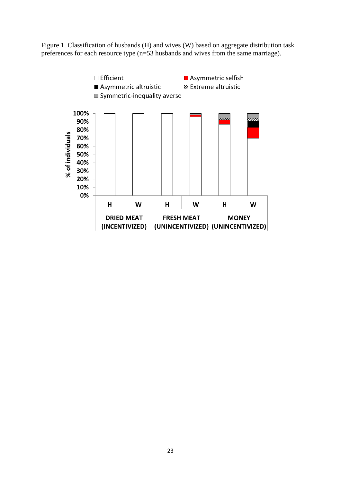Figure 1. Classification of husbands (H) and wives (W) based on aggregate distribution task preferences for each resource type (n=53 husbands and wives from the same marriage).

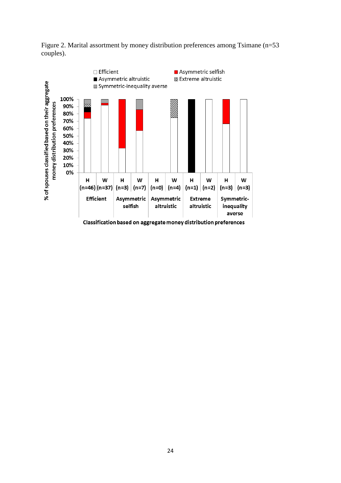

Figure 2. Marital assortment by money distribution preferences among Tsimane (n=53 couples).